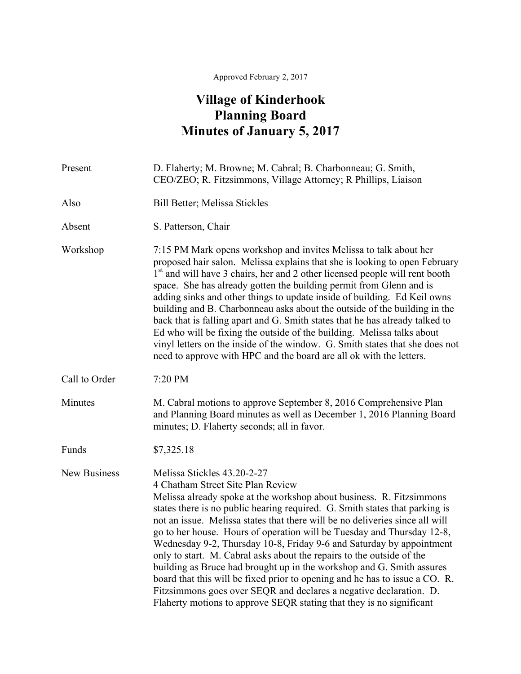## Approved February 2, 2017

## **Village of Kinderhook Planning Board Minutes of January 5, 2017**

| Present             | D. Flaherty; M. Browne; M. Cabral; B. Charbonneau; G. Smith,<br>CEO/ZEO; R. Fitzsimmons, Village Attorney; R Phillips, Liaison                                                                                                                                                                                                                                                                                                                                                                                                                                                                                                                                                                                                                                                                                                           |
|---------------------|------------------------------------------------------------------------------------------------------------------------------------------------------------------------------------------------------------------------------------------------------------------------------------------------------------------------------------------------------------------------------------------------------------------------------------------------------------------------------------------------------------------------------------------------------------------------------------------------------------------------------------------------------------------------------------------------------------------------------------------------------------------------------------------------------------------------------------------|
| Also                | <b>Bill Better; Melissa Stickles</b>                                                                                                                                                                                                                                                                                                                                                                                                                                                                                                                                                                                                                                                                                                                                                                                                     |
| Absent              | S. Patterson, Chair                                                                                                                                                                                                                                                                                                                                                                                                                                                                                                                                                                                                                                                                                                                                                                                                                      |
| Workshop            | 7:15 PM Mark opens workshop and invites Melissa to talk about her<br>proposed hair salon. Melissa explains that she is looking to open February<br>1 <sup>st</sup> and will have 3 chairs, her and 2 other licensed people will rent booth<br>space. She has already gotten the building permit from Glenn and is<br>adding sinks and other things to update inside of building. Ed Keil owns<br>building and B. Charbonneau asks about the outside of the building in the<br>back that is falling apart and G. Smith states that he has already talked to<br>Ed who will be fixing the outside of the building. Melissa talks about<br>vinyl letters on the inside of the window. G. Smith states that she does not<br>need to approve with HPC and the board are all ok with the letters.                                              |
| Call to Order       | 7:20 PM                                                                                                                                                                                                                                                                                                                                                                                                                                                                                                                                                                                                                                                                                                                                                                                                                                  |
| Minutes             | M. Cabral motions to approve September 8, 2016 Comprehensive Plan<br>and Planning Board minutes as well as December 1, 2016 Planning Board<br>minutes; D. Flaherty seconds; all in favor.                                                                                                                                                                                                                                                                                                                                                                                                                                                                                                                                                                                                                                                |
| Funds               | \$7,325.18                                                                                                                                                                                                                                                                                                                                                                                                                                                                                                                                                                                                                                                                                                                                                                                                                               |
| <b>New Business</b> | Melissa Stickles 43.20-2-27<br>4 Chatham Street Site Plan Review<br>Melissa already spoke at the workshop about business. R. Fitzsimmons<br>states there is no public hearing required. G. Smith states that parking is<br>not an issue. Melissa states that there will be no deliveries since all will<br>go to her house. Hours of operation will be Tuesday and Thursday 12-8,<br>Wednesday 9-2, Thursday 10-8, Friday 9-6 and Saturday by appointment<br>only to start. M. Cabral asks about the repairs to the outside of the<br>building as Bruce had brought up in the workshop and G. Smith assures<br>board that this will be fixed prior to opening and he has to issue a CO. R.<br>Fitzsimmons goes over SEQR and declares a negative declaration. D.<br>Flaherty motions to approve SEQR stating that they is no significant |